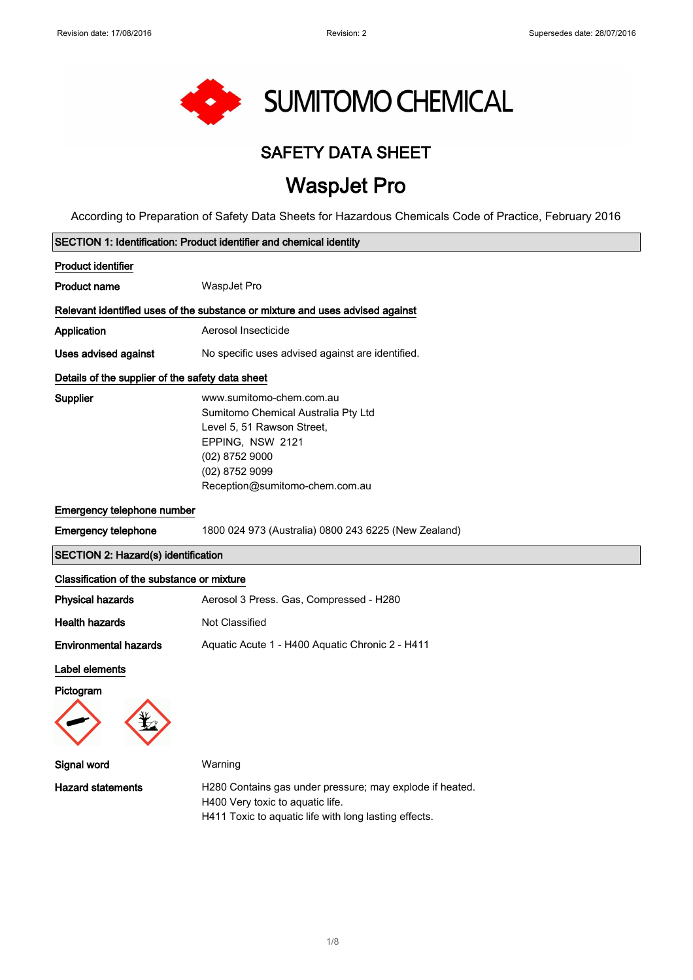$\overline{\phantom{a}}$ 

 $\overline{\phantom{a}}$ 



## SAFETY DATA SHEET

# WaspJet Pro

According to Preparation of Safety Data Sheets for Hazardous Chemicals Code of Practice, February 2016

| SECTION 1: Identification: Product identifier and chemical identity |                                                                                                                                                                                           |  |
|---------------------------------------------------------------------|-------------------------------------------------------------------------------------------------------------------------------------------------------------------------------------------|--|
| Product identifier                                                  |                                                                                                                                                                                           |  |
| Product name                                                        | WaspJet Pro                                                                                                                                                                               |  |
|                                                                     | Relevant identified uses of the substance or mixture and uses advised against                                                                                                             |  |
| Application                                                         | Aerosol Insecticide                                                                                                                                                                       |  |
| <b>Uses advised against</b>                                         | No specific uses advised against are identified.                                                                                                                                          |  |
| Details of the supplier of the safety data sheet                    |                                                                                                                                                                                           |  |
| Supplier                                                            | www.sumitomo-chem.com.au<br>Sumitomo Chemical Australia Pty Ltd<br>Level 5, 51 Rawson Street,<br>EPPING, NSW 2121<br>$(02)$ 8752 9000<br>(02) 8752 9099<br>Reception@sumitomo-chem.com.au |  |
| Emergency telephone number                                          |                                                                                                                                                                                           |  |
| <b>Emergency telephone</b>                                          | 1800 024 973 (Australia) 0800 243 6225 (New Zealand)                                                                                                                                      |  |
| <b>SECTION 2: Hazard(s) identification</b>                          |                                                                                                                                                                                           |  |
| Classification of the substance or mixture                          |                                                                                                                                                                                           |  |
| <b>Physical hazards</b>                                             | Aerosol 3 Press. Gas, Compressed - H280                                                                                                                                                   |  |
| Health hazards                                                      | <b>Not Classified</b>                                                                                                                                                                     |  |
| <b>Environmental hazards</b>                                        | Aquatic Acute 1 - H400 Aquatic Chronic 2 - H411                                                                                                                                           |  |
| Label elements                                                      |                                                                                                                                                                                           |  |
| Pictogram                                                           |                                                                                                                                                                                           |  |
| Signal word                                                         | Warning                                                                                                                                                                                   |  |
| <b>Hazard statements</b>                                            | H280 Contains gas under pressure; may explode if heated.<br>H400 Very toxic to aquatic life.<br>H411 Toxic to aquatic life with long lasting effects.                                     |  |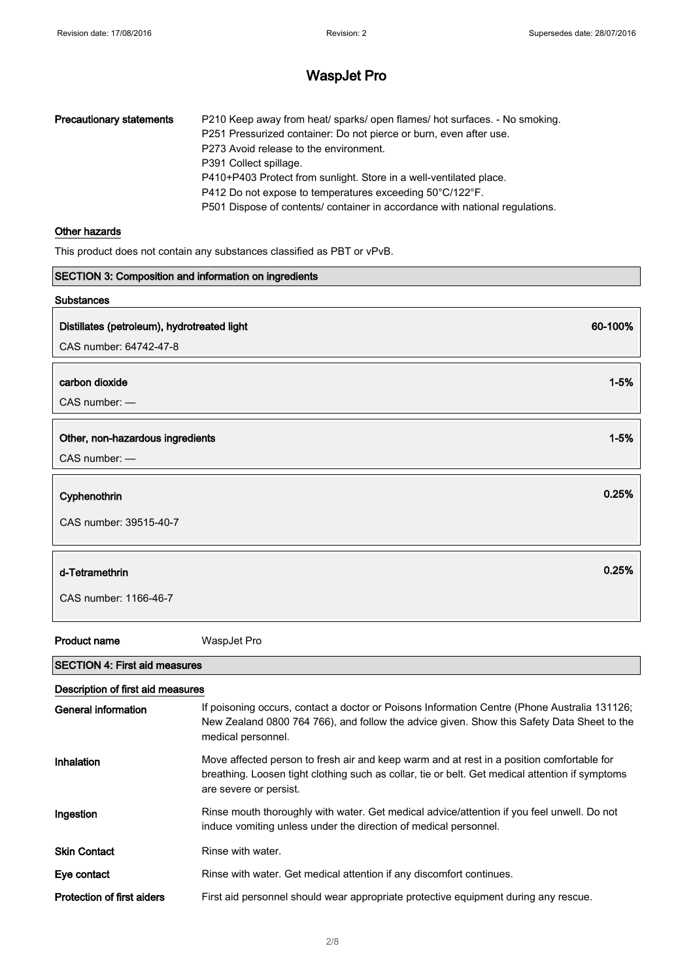| <b>Precautionary statements</b> | P210 Keep away from heat/ sparks/ open flames/ hot surfaces. - No smoking.   |
|---------------------------------|------------------------------------------------------------------------------|
|                                 | P251 Pressurized container: Do not pierce or burn, even after use.           |
|                                 | P273 Avoid release to the environment.                                       |
|                                 | P391 Collect spillage.                                                       |
|                                 | P410+P403 Protect from sunlight. Store in a well-ventilated place.           |
|                                 | P412 Do not expose to temperatures exceeding 50°C/122°F.                     |
|                                 | P501 Dispose of contents/ container in accordance with national regulations. |

#### Other hazards

This product does not contain any substances classified as PBT or vPvB.

| SECTION 3: Composition and information on ingredients |          |
|-------------------------------------------------------|----------|
| <b>Substances</b>                                     |          |
| Distillates (petroleum), hydrotreated light           | 60-100%  |
| CAS number: 64742-47-8                                |          |
|                                                       |          |
| carbon dioxide                                        | $1 - 5%$ |
| CAS number: -                                         |          |
|                                                       |          |
| Other, non-hazardous ingredients                      | $1 - 5%$ |
| CAS number: -                                         |          |
| Cyphenothrin                                          | 0.25%    |
|                                                       |          |
| CAS number: 39515-40-7                                |          |
|                                                       |          |
| d-Tetramethrin                                        | 0.25%    |
| CAS number: 1166-46-7                                 |          |
|                                                       |          |
| <b>Product name</b><br>WaspJet Pro                    |          |

#### SECTION 4: First aid measures Description of first aid measures

| Description of first ald measures |                                                                                                                                                                                                                        |
|-----------------------------------|------------------------------------------------------------------------------------------------------------------------------------------------------------------------------------------------------------------------|
| General information               | If poisoning occurs, contact a doctor or Poisons Information Centre (Phone Australia 131126;<br>New Zealand 0800 764 766), and follow the advice given. Show this Safety Data Sheet to the<br>medical personnel.       |
| Inhalation                        | Move affected person to fresh air and keep warm and at rest in a position comfortable for<br>breathing. Loosen tight clothing such as collar, tie or belt. Get medical attention if symptoms<br>are severe or persist. |
| Ingestion                         | Rinse mouth thoroughly with water. Get medical advice/attention if you feel unwell. Do not<br>induce vomiting unless under the direction of medical personnel.                                                         |
| <b>Skin Contact</b>               | Rinse with water.                                                                                                                                                                                                      |
| Eye contact                       | Rinse with water. Get medical attention if any discomfort continues.                                                                                                                                                   |
| <b>Protection of first aiders</b> | First aid personnel should wear appropriate protective equipment during any rescue.                                                                                                                                    |
|                                   |                                                                                                                                                                                                                        |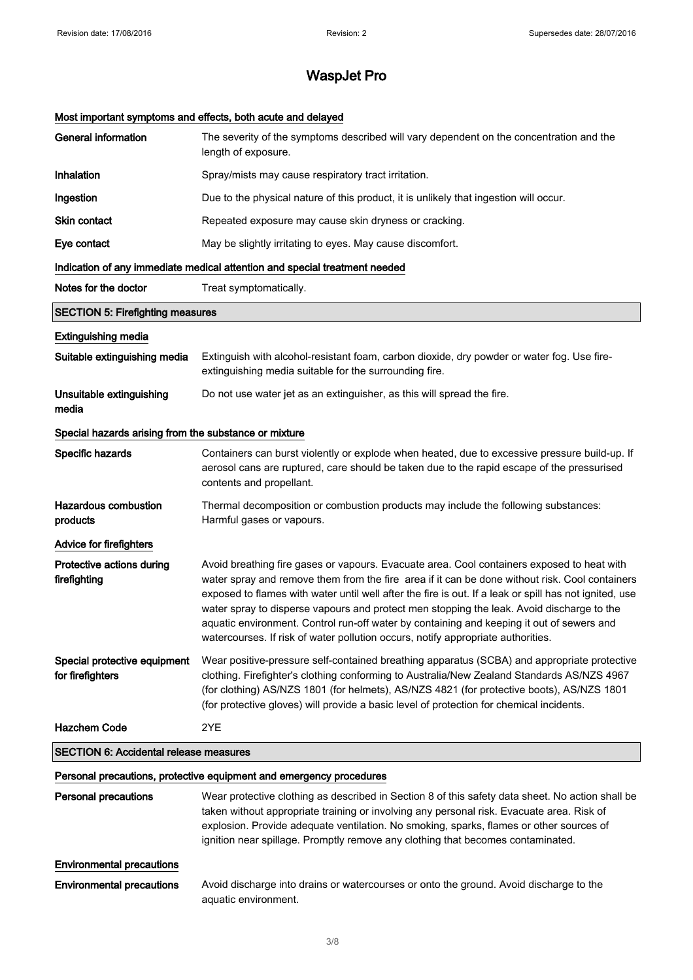#### Most important symptoms and effects, both acute and delayed

| <b>General information</b>                            | The severity of the symptoms described will vary dependent on the concentration and the<br>length of exposure.                                                                                                                                                                                                                                                                                                                                                                                                                                                                       |
|-------------------------------------------------------|--------------------------------------------------------------------------------------------------------------------------------------------------------------------------------------------------------------------------------------------------------------------------------------------------------------------------------------------------------------------------------------------------------------------------------------------------------------------------------------------------------------------------------------------------------------------------------------|
| Inhalation                                            | Spray/mists may cause respiratory tract irritation.                                                                                                                                                                                                                                                                                                                                                                                                                                                                                                                                  |
| Ingestion                                             | Due to the physical nature of this product, it is unlikely that ingestion will occur.                                                                                                                                                                                                                                                                                                                                                                                                                                                                                                |
| Skin contact                                          | Repeated exposure may cause skin dryness or cracking.                                                                                                                                                                                                                                                                                                                                                                                                                                                                                                                                |
| Eye contact                                           | May be slightly irritating to eyes. May cause discomfort.                                                                                                                                                                                                                                                                                                                                                                                                                                                                                                                            |
|                                                       | Indication of any immediate medical attention and special treatment needed                                                                                                                                                                                                                                                                                                                                                                                                                                                                                                           |
| Notes for the doctor                                  | Treat symptomatically.                                                                                                                                                                                                                                                                                                                                                                                                                                                                                                                                                               |
| <b>SECTION 5: Firefighting measures</b>               |                                                                                                                                                                                                                                                                                                                                                                                                                                                                                                                                                                                      |
| <b>Extinguishing media</b>                            |                                                                                                                                                                                                                                                                                                                                                                                                                                                                                                                                                                                      |
| Suitable extinguishing media                          | Extinguish with alcohol-resistant foam, carbon dioxide, dry powder or water fog. Use fire-<br>extinguishing media suitable for the surrounding fire.                                                                                                                                                                                                                                                                                                                                                                                                                                 |
| Unsuitable extinguishing<br>media                     | Do not use water jet as an extinguisher, as this will spread the fire.                                                                                                                                                                                                                                                                                                                                                                                                                                                                                                               |
| Special hazards arising from the substance or mixture |                                                                                                                                                                                                                                                                                                                                                                                                                                                                                                                                                                                      |
| Specific hazards                                      | Containers can burst violently or explode when heated, due to excessive pressure build-up. If<br>aerosol cans are ruptured, care should be taken due to the rapid escape of the pressurised<br>contents and propellant.                                                                                                                                                                                                                                                                                                                                                              |
| <b>Hazardous combustion</b><br>products               | Thermal decomposition or combustion products may include the following substances:<br>Harmful gases or vapours.                                                                                                                                                                                                                                                                                                                                                                                                                                                                      |
| Advice for firefighters                               |                                                                                                                                                                                                                                                                                                                                                                                                                                                                                                                                                                                      |
| Protective actions during<br>firefighting             | Avoid breathing fire gases or vapours. Evacuate area. Cool containers exposed to heat with<br>water spray and remove them from the fire area if it can be done without risk. Cool containers<br>exposed to flames with water until well after the fire is out. If a leak or spill has not ignited, use<br>water spray to disperse vapours and protect men stopping the leak. Avoid discharge to the<br>aquatic environment. Control run-off water by containing and keeping it out of sewers and<br>watercourses. If risk of water pollution occurs, notify appropriate authorities. |
| Special protective equipment<br>for firefighters      | Wear positive-pressure self-contained breathing apparatus (SCBA) and appropriate protective<br>clothing. Firefighter's clothing conforming to Australia/New Zealand Standards AS/NZS 4967<br>(for clothing) AS/NZS 1801 (for helmets), AS/NZS 4821 (for protective boots), AS/NZS 1801<br>(for protective gloves) will provide a basic level of protection for chemical incidents.                                                                                                                                                                                                   |
| <b>Hazchem Code</b>                                   | 2YE                                                                                                                                                                                                                                                                                                                                                                                                                                                                                                                                                                                  |
| <b>SECTION 6: Accidental release measures</b>         |                                                                                                                                                                                                                                                                                                                                                                                                                                                                                                                                                                                      |
|                                                       | Personal precautions, protective equipment and emergency procedures                                                                                                                                                                                                                                                                                                                                                                                                                                                                                                                  |
| <b>Personal precautions</b>                           | Wear protective clothing as described in Section 8 of this safety data sheet. No action shall be<br>taken without appropriate training or involving any personal risk. Evacuate area. Risk of<br>explosion. Provide adequate ventilation. No smoking, sparks, flames or other sources of<br>ignition near spillage. Promptly remove any clothing that becomes contaminated.                                                                                                                                                                                                          |
| <b>Environmental precautions</b>                      |                                                                                                                                                                                                                                                                                                                                                                                                                                                                                                                                                                                      |
| <b>Environmental precautions</b>                      | Avoid discharge into drains or watercourses or onto the ground. Avoid discharge to the<br>aquatic environment.                                                                                                                                                                                                                                                                                                                                                                                                                                                                       |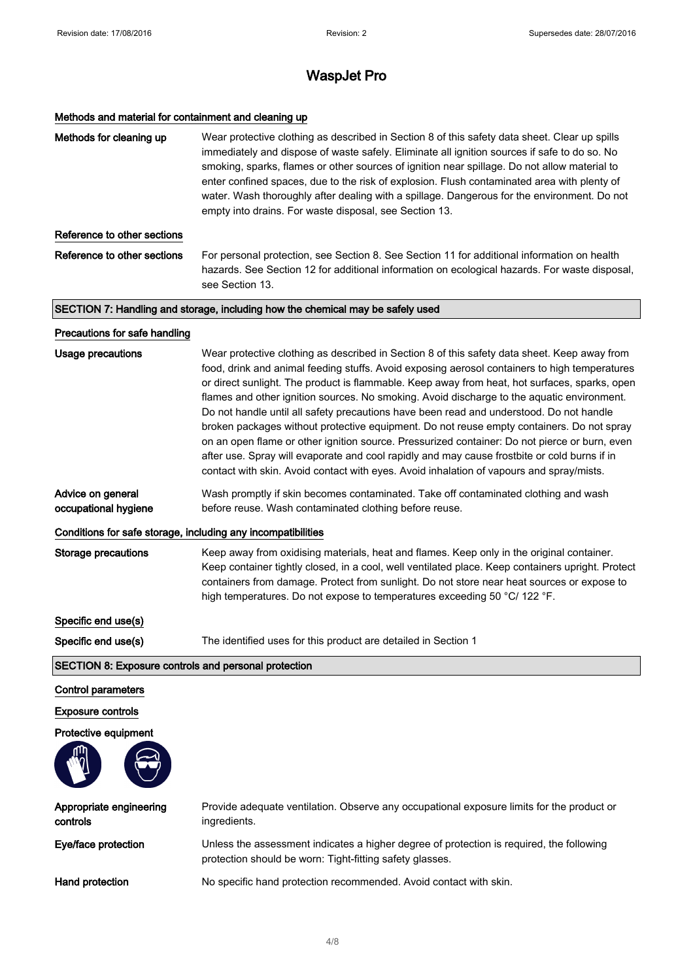#### Methods and material for containment and cleaning up

| Methods for cleaning up                                      | Wear protective clothing as described in Section 8 of this safety data sheet. Clear up spills<br>immediately and dispose of waste safely. Eliminate all ignition sources if safe to do so. No<br>smoking, sparks, flames or other sources of ignition near spillage. Do not allow material to<br>enter confined spaces, due to the risk of explosion. Flush contaminated area with plenty of<br>water. Wash thoroughly after dealing with a spillage. Dangerous for the environment. Do not<br>empty into drains. For waste disposal, see Section 13.                                                                                                                                                                                                                                                                                                                             |
|--------------------------------------------------------------|-----------------------------------------------------------------------------------------------------------------------------------------------------------------------------------------------------------------------------------------------------------------------------------------------------------------------------------------------------------------------------------------------------------------------------------------------------------------------------------------------------------------------------------------------------------------------------------------------------------------------------------------------------------------------------------------------------------------------------------------------------------------------------------------------------------------------------------------------------------------------------------|
| Reference to other sections                                  |                                                                                                                                                                                                                                                                                                                                                                                                                                                                                                                                                                                                                                                                                                                                                                                                                                                                                   |
| Reference to other sections                                  | For personal protection, see Section 8. See Section 11 for additional information on health<br>hazards. See Section 12 for additional information on ecological hazards. For waste disposal,<br>see Section 13.                                                                                                                                                                                                                                                                                                                                                                                                                                                                                                                                                                                                                                                                   |
|                                                              | SECTION 7: Handling and storage, including how the chemical may be safely used                                                                                                                                                                                                                                                                                                                                                                                                                                                                                                                                                                                                                                                                                                                                                                                                    |
| Precautions for safe handling                                |                                                                                                                                                                                                                                                                                                                                                                                                                                                                                                                                                                                                                                                                                                                                                                                                                                                                                   |
| <b>Usage precautions</b>                                     | Wear protective clothing as described in Section 8 of this safety data sheet. Keep away from<br>food, drink and animal feeding stuffs. Avoid exposing aerosol containers to high temperatures<br>or direct sunlight. The product is flammable. Keep away from heat, hot surfaces, sparks, open<br>flames and other ignition sources. No smoking. Avoid discharge to the aquatic environment.<br>Do not handle until all safety precautions have been read and understood. Do not handle<br>broken packages without protective equipment. Do not reuse empty containers. Do not spray<br>on an open flame or other ignition source. Pressurized container: Do not pierce or burn, even<br>after use. Spray will evaporate and cool rapidly and may cause frostbite or cold burns if in<br>contact with skin. Avoid contact with eyes. Avoid inhalation of vapours and spray/mists. |
| Advice on general<br>occupational hygiene                    | Wash promptly if skin becomes contaminated. Take off contaminated clothing and wash<br>before reuse. Wash contaminated clothing before reuse.                                                                                                                                                                                                                                                                                                                                                                                                                                                                                                                                                                                                                                                                                                                                     |
| Conditions for safe storage, including any incompatibilities |                                                                                                                                                                                                                                                                                                                                                                                                                                                                                                                                                                                                                                                                                                                                                                                                                                                                                   |
| <b>Storage precautions</b>                                   | Keep away from oxidising materials, heat and flames. Keep only in the original container.<br>Keep container tightly closed, in a cool, well ventilated place. Keep containers upright. Protect                                                                                                                                                                                                                                                                                                                                                                                                                                                                                                                                                                                                                                                                                    |
|                                                              | containers from damage. Protect from sunlight. Do not store near heat sources or expose to<br>high temperatures. Do not expose to temperatures exceeding 50 °C/ 122 °F.                                                                                                                                                                                                                                                                                                                                                                                                                                                                                                                                                                                                                                                                                                           |
| Specific end use(s)                                          |                                                                                                                                                                                                                                                                                                                                                                                                                                                                                                                                                                                                                                                                                                                                                                                                                                                                                   |
| Specific end use(s)                                          | The identified uses for this product are detailed in Section 1                                                                                                                                                                                                                                                                                                                                                                                                                                                                                                                                                                                                                                                                                                                                                                                                                    |
| SECTION 8: Exposure controls and personal protection         |                                                                                                                                                                                                                                                                                                                                                                                                                                                                                                                                                                                                                                                                                                                                                                                                                                                                                   |
| <b>Control parameters</b>                                    |                                                                                                                                                                                                                                                                                                                                                                                                                                                                                                                                                                                                                                                                                                                                                                                                                                                                                   |
| <b>Exposure controls</b>                                     |                                                                                                                                                                                                                                                                                                                                                                                                                                                                                                                                                                                                                                                                                                                                                                                                                                                                                   |
| Protective equipment                                         |                                                                                                                                                                                                                                                                                                                                                                                                                                                                                                                                                                                                                                                                                                                                                                                                                                                                                   |
|                                                              |                                                                                                                                                                                                                                                                                                                                                                                                                                                                                                                                                                                                                                                                                                                                                                                                                                                                                   |
| Appropriate engineering<br>controls                          | Provide adequate ventilation. Observe any occupational exposure limits for the product or<br>ingredients.                                                                                                                                                                                                                                                                                                                                                                                                                                                                                                                                                                                                                                                                                                                                                                         |
| Eye/face protection                                          | Unless the assessment indicates a higher degree of protection is required, the following<br>protection should be worn: Tight-fitting safety glasses.                                                                                                                                                                                                                                                                                                                                                                                                                                                                                                                                                                                                                                                                                                                              |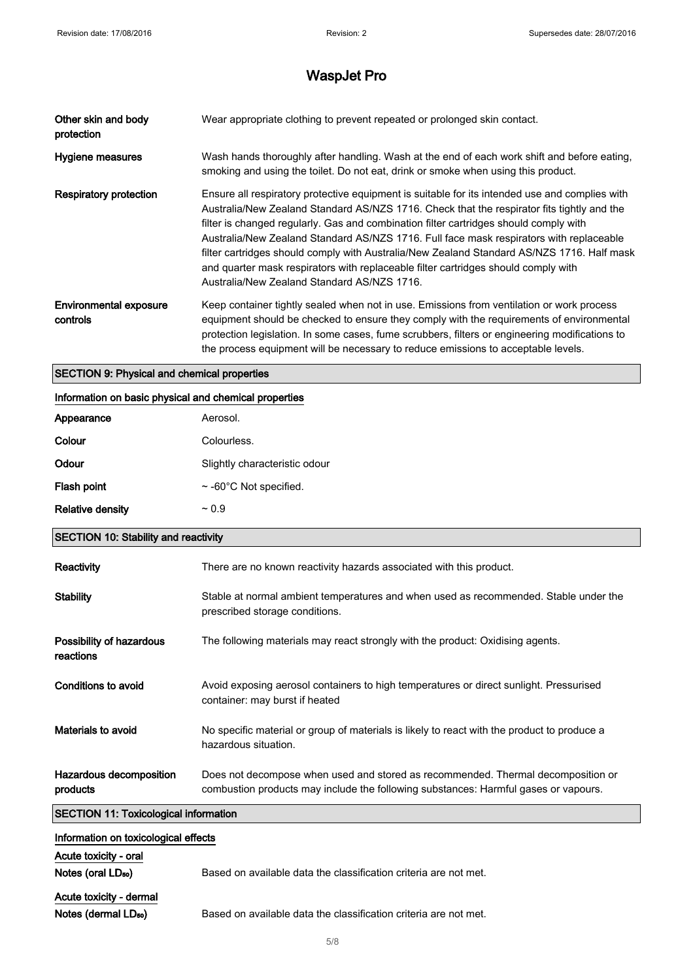| Other skin and body<br>protection         | Wear appropriate clothing to prevent repeated or prolonged skin contact.                                                                                                                                                                                                                                                                                                                                                                                                                                                                                                                                            |
|-------------------------------------------|---------------------------------------------------------------------------------------------------------------------------------------------------------------------------------------------------------------------------------------------------------------------------------------------------------------------------------------------------------------------------------------------------------------------------------------------------------------------------------------------------------------------------------------------------------------------------------------------------------------------|
| Hygiene measures                          | Wash hands thoroughly after handling. Wash at the end of each work shift and before eating,<br>smoking and using the toilet. Do not eat, drink or smoke when using this product.                                                                                                                                                                                                                                                                                                                                                                                                                                    |
| Respiratory protection                    | Ensure all respiratory protective equipment is suitable for its intended use and complies with<br>Australia/New Zealand Standard AS/NZS 1716. Check that the respirator fits tightly and the<br>filter is changed regularly. Gas and combination filter cartridges should comply with<br>Australia/New Zealand Standard AS/NZS 1716. Full face mask respirators with replaceable<br>filter cartridges should comply with Australia/New Zealand Standard AS/NZS 1716. Half mask<br>and quarter mask respirators with replaceable filter cartridges should comply with<br>Australia/New Zealand Standard AS/NZS 1716. |
| <b>Environmental exposure</b><br>controls | Keep container tightly sealed when not in use. Emissions from ventilation or work process<br>equipment should be checked to ensure they comply with the requirements of environmental<br>protection legislation. In some cases, fume scrubbers, filters or engineering modifications to<br>the process equipment will be necessary to reduce emissions to acceptable levels.                                                                                                                                                                                                                                        |

#### SECTION 9: Physical and chemical properties

| Information on basic physical and chemical properties |                               |  |
|-------------------------------------------------------|-------------------------------|--|
| Appearance                                            | Aerosol.                      |  |
| Colour                                                | Colourless.                   |  |
| Odour                                                 | Slightly characteristic odour |  |
| Flash point                                           | $\sim$ -60°C Not specified.   |  |
| <b>Relative density</b>                               | $~1$ 0.9                      |  |
|                                                       |                               |  |

#### SECTION 10: Stability and reactivity

| Reactivity                                   | There are no known reactivity hazards associated with this product.                                                                                                     |
|----------------------------------------------|-------------------------------------------------------------------------------------------------------------------------------------------------------------------------|
| <b>Stability</b>                             | Stable at normal ambient temperatures and when used as recommended. Stable under the<br>prescribed storage conditions.                                                  |
| Possibility of hazardous<br>reactions        | The following materials may react strongly with the product: Oxidising agents.                                                                                          |
| Conditions to avoid                          | Avoid exposing aerosol containers to high temperatures or direct sunlight. Pressurised<br>container: may burst if heated                                                |
| Materials to avoid                           | No specific material or group of materials is likely to react with the product to produce a<br>hazardous situation.                                                     |
| Hazardous decomposition<br>products          | Does not decompose when used and stored as recommended. Thermal decomposition or<br>combustion products may include the following substances: Harmful gases or vapours. |
| <b>SECTION 11: Toxicological information</b> |                                                                                                                                                                         |

| <b>SECTION TT. TOXICOlOGICAL INIUMITATION</b> |                                                                  |
|-----------------------------------------------|------------------------------------------------------------------|
| Information on toxicological effects          |                                                                  |
| Acute toxicity - oral                         |                                                                  |
| Notes (oral LD <sub>50</sub> )                | Based on available data the classification criteria are not met. |
| Acute toxicity - dermal                       |                                                                  |
| Notes (dermal LD <sub>50</sub> )              | Based on available data the classification criteria are not met. |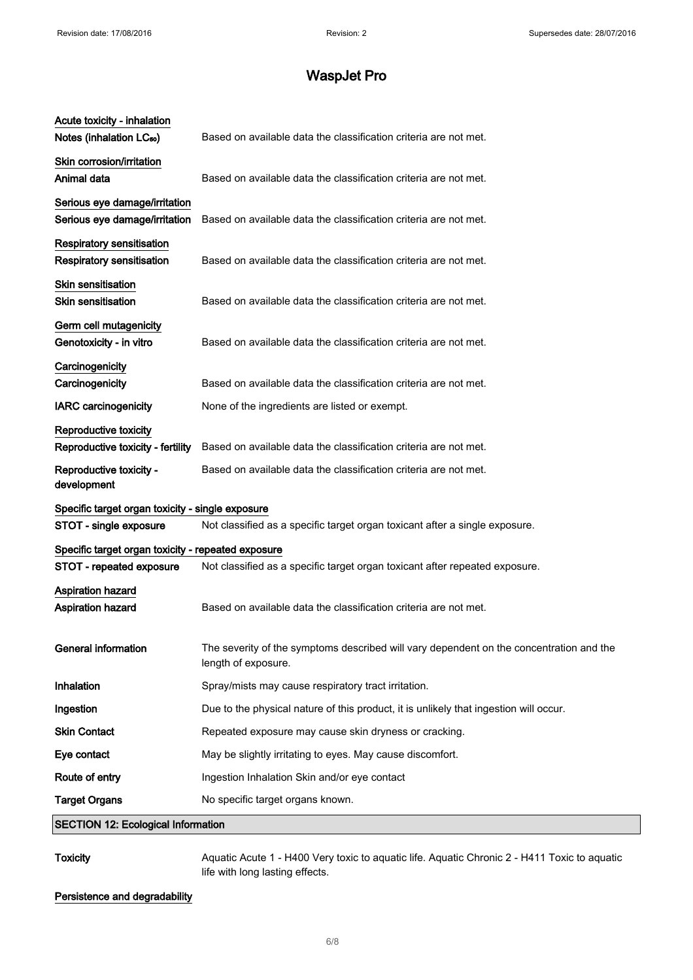| Acute toxicity - inhalation<br>Notes (inhalation LC <sub>50</sub> )  | Based on available data the classification criteria are not met.                                               |
|----------------------------------------------------------------------|----------------------------------------------------------------------------------------------------------------|
| Skin corrosion/irritation<br>Animal data                             | Based on available data the classification criteria are not met.                                               |
| Serious eye damage/irritation<br>Serious eye damage/irritation       | Based on available data the classification criteria are not met.                                               |
| <b>Respiratory sensitisation</b><br><b>Respiratory sensitisation</b> | Based on available data the classification criteria are not met.                                               |
| Skin sensitisation<br><b>Skin sensitisation</b>                      | Based on available data the classification criteria are not met.                                               |
| Germ cell mutagenicity<br>Genotoxicity - in vitro                    | Based on available data the classification criteria are not met.                                               |
| Carcinogenicity<br>Carcinogenicity                                   | Based on available data the classification criteria are not met.                                               |
| <b>IARC</b> carcinogenicity                                          | None of the ingredients are listed or exempt.                                                                  |
| Reproductive toxicity<br>Reproductive toxicity - fertility           | Based on available data the classification criteria are not met.                                               |
| Reproductive toxicity -<br>development                               | Based on available data the classification criteria are not met.                                               |
| Specific target organ toxicity - single exposure                     |                                                                                                                |
| STOT - single exposure                                               | Not classified as a specific target organ toxicant after a single exposure.                                    |
| Specific target organ toxicity - repeated exposure                   |                                                                                                                |
| STOT - repeated exposure                                             | Not classified as a specific target organ toxicant after repeated exposure.                                    |
| <b>Aspiration hazard</b><br><b>Aspiration hazard</b>                 | Based on available data the classification criteria are not met.                                               |
| <b>General information</b>                                           | The severity of the symptoms described will vary dependent on the concentration and the<br>length of exposure. |
| Inhalation                                                           | Spray/mists may cause respiratory tract irritation.                                                            |
| Ingestion                                                            | Due to the physical nature of this product, it is unlikely that ingestion will occur.                          |
| <b>Skin Contact</b>                                                  | Repeated exposure may cause skin dryness or cracking.                                                          |
| Eye contact                                                          | May be slightly irritating to eyes. May cause discomfort.                                                      |
| Route of entry                                                       | Ingestion Inhalation Skin and/or eye contact                                                                   |
| <b>Target Organs</b>                                                 | No specific target organs known.                                                                               |
| <b>SECTION 12: Ecological Information</b>                            |                                                                                                                |
|                                                                      |                                                                                                                |

Toxicity **Aquatic Acute 1 - H400 Very toxic to aquatic life. Aquatic Chronic 2 - H411 Toxic to aquatic** life with long lasting effects.

Persistence and degradability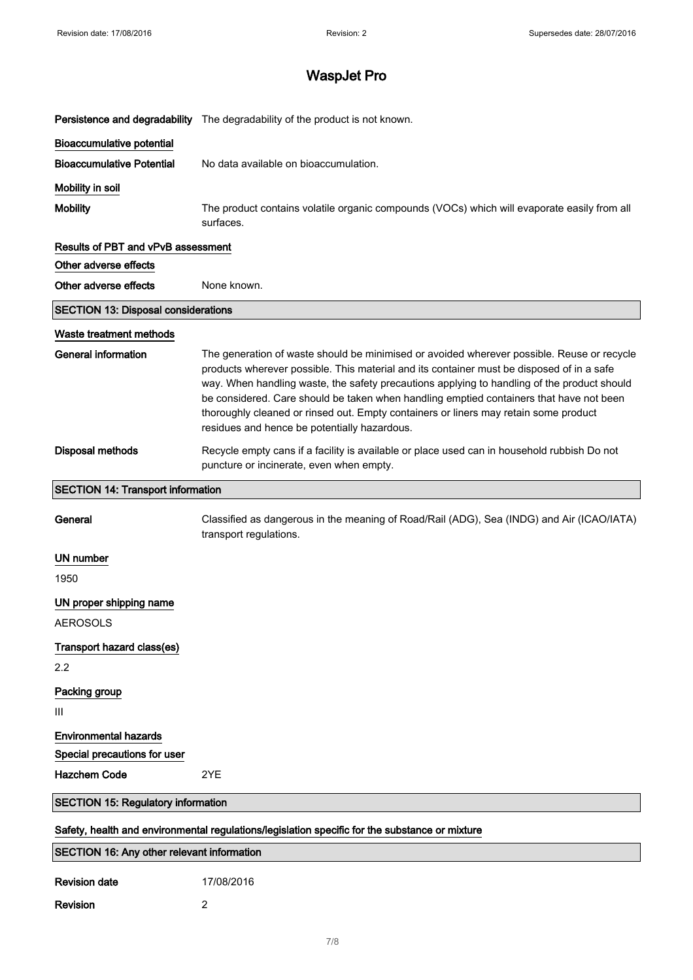|                                                   | Persistence and degradability The degradability of the product is not known.                                                                                                                                                                                                                                                                                                                                                                                                                                              |
|---------------------------------------------------|---------------------------------------------------------------------------------------------------------------------------------------------------------------------------------------------------------------------------------------------------------------------------------------------------------------------------------------------------------------------------------------------------------------------------------------------------------------------------------------------------------------------------|
| <b>Bioaccumulative potential</b>                  |                                                                                                                                                                                                                                                                                                                                                                                                                                                                                                                           |
| <b>Bioaccumulative Potential</b>                  | No data available on bioaccumulation.                                                                                                                                                                                                                                                                                                                                                                                                                                                                                     |
| Mobility in soil                                  |                                                                                                                                                                                                                                                                                                                                                                                                                                                                                                                           |
| <b>Mobility</b>                                   | The product contains volatile organic compounds (VOCs) which will evaporate easily from all<br>surfaces.                                                                                                                                                                                                                                                                                                                                                                                                                  |
| <b>Results of PBT and vPvB assessment</b>         |                                                                                                                                                                                                                                                                                                                                                                                                                                                                                                                           |
| Other adverse effects                             |                                                                                                                                                                                                                                                                                                                                                                                                                                                                                                                           |
| Other adverse effects                             | None known.                                                                                                                                                                                                                                                                                                                                                                                                                                                                                                               |
| <b>SECTION 13: Disposal considerations</b>        |                                                                                                                                                                                                                                                                                                                                                                                                                                                                                                                           |
| Waste treatment methods                           |                                                                                                                                                                                                                                                                                                                                                                                                                                                                                                                           |
| <b>General information</b>                        | The generation of waste should be minimised or avoided wherever possible. Reuse or recycle<br>products wherever possible. This material and its container must be disposed of in a safe<br>way. When handling waste, the safety precautions applying to handling of the product should<br>be considered. Care should be taken when handling emptied containers that have not been<br>thoroughly cleaned or rinsed out. Empty containers or liners may retain some product<br>residues and hence be potentially hazardous. |
| <b>Disposal methods</b>                           | Recycle empty cans if a facility is available or place used can in household rubbish Do not<br>puncture or incinerate, even when empty.                                                                                                                                                                                                                                                                                                                                                                                   |
| <b>SECTION 14: Transport information</b>          |                                                                                                                                                                                                                                                                                                                                                                                                                                                                                                                           |
| General                                           | Classified as dangerous in the meaning of Road/Rail (ADG), Sea (INDG) and Air (ICAO/IATA)<br>transport regulations.                                                                                                                                                                                                                                                                                                                                                                                                       |
| UN number                                         |                                                                                                                                                                                                                                                                                                                                                                                                                                                                                                                           |
| 1950                                              |                                                                                                                                                                                                                                                                                                                                                                                                                                                                                                                           |
| UN proper shipping name                           |                                                                                                                                                                                                                                                                                                                                                                                                                                                                                                                           |
| AEROSOLS                                          |                                                                                                                                                                                                                                                                                                                                                                                                                                                                                                                           |
| Transport hazard class(es)                        |                                                                                                                                                                                                                                                                                                                                                                                                                                                                                                                           |
| 2.2                                               |                                                                                                                                                                                                                                                                                                                                                                                                                                                                                                                           |
| Packing group                                     |                                                                                                                                                                                                                                                                                                                                                                                                                                                                                                                           |
| Ш                                                 |                                                                                                                                                                                                                                                                                                                                                                                                                                                                                                                           |
| <b>Environmental hazards</b>                      |                                                                                                                                                                                                                                                                                                                                                                                                                                                                                                                           |
| Special precautions for user                      |                                                                                                                                                                                                                                                                                                                                                                                                                                                                                                                           |
| <b>Hazchem Code</b>                               | 2YE                                                                                                                                                                                                                                                                                                                                                                                                                                                                                                                       |
| <b>SECTION 15: Regulatory information</b>         |                                                                                                                                                                                                                                                                                                                                                                                                                                                                                                                           |
|                                                   | Safety, health and environmental regulations/legislation specific for the substance or mixture                                                                                                                                                                                                                                                                                                                                                                                                                            |
| <b>SECTION 16: Any other relevant information</b> |                                                                                                                                                                                                                                                                                                                                                                                                                                                                                                                           |
| <b>Revision date</b>                              | 17/08/2016                                                                                                                                                                                                                                                                                                                                                                                                                                                                                                                |